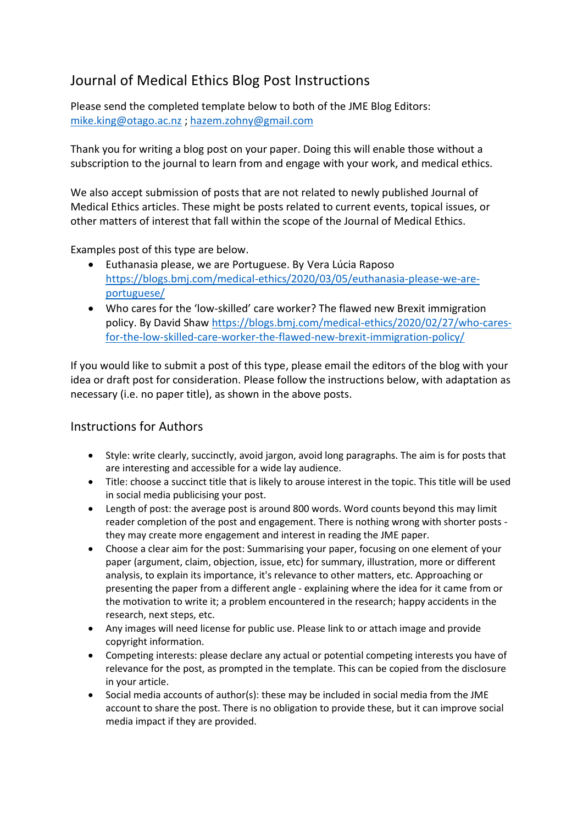## Journal of Medical Ethics Blog Post Instructions

Please send the completed template below to both of the JME Blog Editors: [mike.king@otago.ac.nz](mailto:mike.king@otago.ac.nz) ; [hazem.zohny@gmail.com](mailto:hazem.zohny@gmail.com)

Thank you for writing a blog post on your paper. Doing this will enable those without a subscription to the journal to learn from and engage with your work, and medical ethics.

We also accept submission of posts that are not related to newly published Journal of Medical Ethics articles. These might be posts related to current events, topical issues, or other matters of interest that fall within the scope of the Journal of Medical Ethics.

Examples post of this type are below.

- Euthanasia please, we are Portuguese. By Vera Lúcia Raposo [https://blogs.bmj.com/medical-ethics/2020/03/05/euthanasia-please-we-are](https://blogs.bmj.com/medical-ethics/2020/03/05/euthanasia-please-we-are-portuguese/)[portuguese/](https://blogs.bmj.com/medical-ethics/2020/03/05/euthanasia-please-we-are-portuguese/)
- Who cares for the 'low-skilled' care worker? The flawed new Brexit immigration policy. By David Shaw [https://blogs.bmj.com/medical-ethics/2020/02/27/who-cares](https://blogs.bmj.com/medical-ethics/2020/02/27/who-cares-for-the-low-skilled-care-worker-the-flawed-new-brexit-immigration-policy/)[for-the-low-skilled-care-worker-the-flawed-new-brexit-immigration-policy/](https://blogs.bmj.com/medical-ethics/2020/02/27/who-cares-for-the-low-skilled-care-worker-the-flawed-new-brexit-immigration-policy/)

If you would like to submit a post of this type, please email the editors of the blog with your idea or draft post for consideration. Please follow the instructions below, with adaptation as necessary (i.e. no paper title), as shown in the above posts.

## Instructions for Authors

- Style: write clearly, succinctly, avoid jargon, avoid long paragraphs. The aim is for posts that are interesting and accessible for a wide lay audience.
- Title: choose a succinct title that is likely to arouse interest in the topic. This title will be used in social media publicising your post.
- Length of post: the average post is around 800 words. Word counts beyond this may limit reader completion of the post and engagement. There is nothing wrong with shorter posts they may create more engagement and interest in reading the JME paper.
- Choose a clear aim for the post: Summarising your paper, focusing on one element of your paper (argument, claim, objection, issue, etc) for summary, illustration, more or different analysis, to explain its importance, it's relevance to other matters, etc. Approaching or presenting the paper from a different angle - explaining where the idea for it came from or the motivation to write it; a problem encountered in the research; happy accidents in the research, next steps, etc.
- Any images will need license for public use. Please link to or attach image and provide copyright information.
- Competing interests: please declare any actual or potential competing interests you have of relevance for the post, as prompted in the template. This can be copied from the disclosure in your article.
- Social media accounts of author(s): these may be included in social media from the JME account to share the post. There is no obligation to provide these, but it can improve social media impact if they are provided.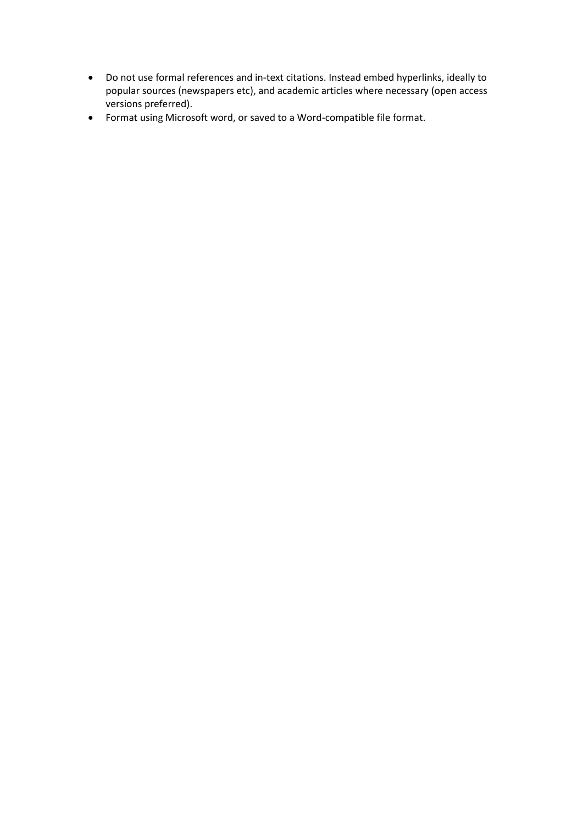- Do not use formal references and in-text citations. Instead embed hyperlinks, ideally to popular sources (newspapers etc), and academic articles where necessary (open access versions preferred).
- Format using Microsoft word, or saved to a Word-compatible file format.